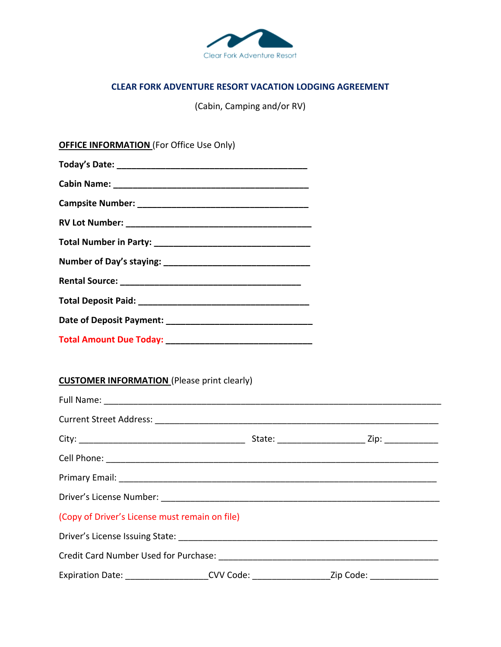

## **CLEAR FORK ADVENTURE RESORT VACATION LODGING AGREEMENT**

(Cabin, Camping and/or RV)

| <b>OFFICE INFORMATION (For Office Use Only)</b>    |  |                                                                                                |
|----------------------------------------------------|--|------------------------------------------------------------------------------------------------|
|                                                    |  |                                                                                                |
|                                                    |  |                                                                                                |
|                                                    |  |                                                                                                |
|                                                    |  |                                                                                                |
|                                                    |  |                                                                                                |
|                                                    |  |                                                                                                |
|                                                    |  |                                                                                                |
|                                                    |  |                                                                                                |
|                                                    |  |                                                                                                |
|                                                    |  |                                                                                                |
| <b>CUSTOMER INFORMATION</b> (Please print clearly) |  |                                                                                                |
|                                                    |  |                                                                                                |
|                                                    |  |                                                                                                |
|                                                    |  |                                                                                                |
|                                                    |  |                                                                                                |
|                                                    |  |                                                                                                |
| (Copy of Driver's License must remain on file)     |  |                                                                                                |
|                                                    |  |                                                                                                |
|                                                    |  |                                                                                                |
|                                                    |  | Expiration Date: _____________________CVV Code: ____________________Zip Code: ________________ |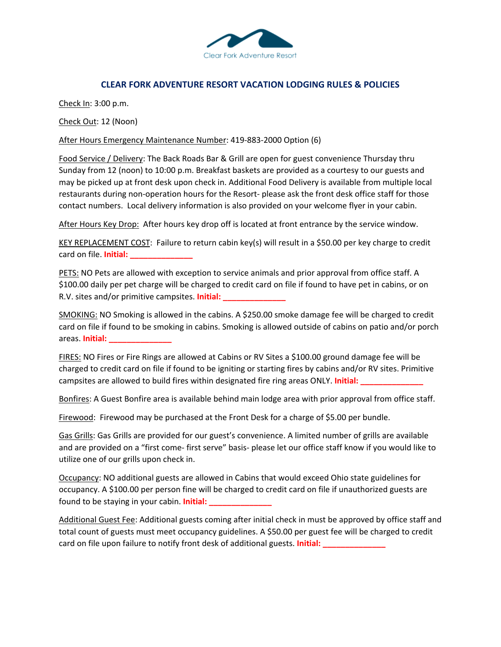

## **CLEAR FORK ADVENTURE RESORT VACATION LODGING RULES & POLICIES**

Check In: 3:00 p.m.

Check Out: 12 (Noon)

After Hours Emergency Maintenance Number: 419-883-2000 Option (6)

Food Service / Delivery: The Back Roads Bar & Grill are open for guest convenience Thursday thru Sunday from 12 (noon) to 10:00 p.m. Breakfast baskets are provided as a courtesy to our guests and may be picked up at front desk upon check in. Additional Food Delivery is available from multiple local restaurants during non-operation hours for the Resort- please ask the front desk office staff for those contact numbers. Local delivery information is also provided on your welcome flyer in your cabin.

After Hours Key Drop: After hours key drop off is located at front entrance by the service window.

KEY REPLACEMENT COST: Failure to return cabin key(s) will result in a \$50.00 per key charge to credit card on file. **Initial: \_\_\_\_\_\_\_\_\_\_\_\_\_\_**

PETS: NO Pets are allowed with exception to service animals and prior approval from office staff. A \$100.00 daily per pet charge will be charged to credit card on file if found to have pet in cabins, or on R.V. sites and/or primitive campsites. **Initial: \_\_\_\_\_\_\_\_\_\_\_\_\_\_**

SMOKING: NO Smoking is allowed in the cabins. A \$250.00 smoke damage fee will be charged to credit card on file if found to be smoking in cabins. Smoking is allowed outside of cabins on patio and/or porch areas. **Initial: \_\_\_\_\_\_\_\_\_\_\_\_\_\_**

FIRES: NO Fires or Fire Rings are allowed at Cabins or RV Sites a \$100.00 ground damage fee will be charged to credit card on file if found to be igniting or starting fires by cabins and/or RV sites. Primitive campsites are allowed to build fires within designated fire ring areas ONLY. **Initial: \_\_\_\_\_\_\_\_\_\_\_\_\_\_**

Bonfires: A Guest Bonfire area is available behind main lodge area with prior approval from office staff.

Firewood: Firewood may be purchased at the Front Desk for a charge of \$5.00 per bundle.

Gas Grills: Gas Grills are provided for our guest's convenience. A limited number of grills are available and are provided on a "first come- first serve" basis- please let our office staff know if you would like to utilize one of our grills upon check in.

Occupancy: NO additional guests are allowed in Cabins that would exceed Ohio state guidelines for occupancy. A \$100.00 per person fine will be charged to credit card on file if unauthorized guests are found to be staying in your cabin. **Initial: \_\_\_\_\_\_\_\_\_\_\_\_\_\_**

Additional Guest Fee: Additional guests coming after initial check in must be approved by office staff and total count of guests must meet occupancy guidelines. A \$50.00 per guest fee will be charged to credit card on file upon failure to notify front desk of additional guests. **Initial:**